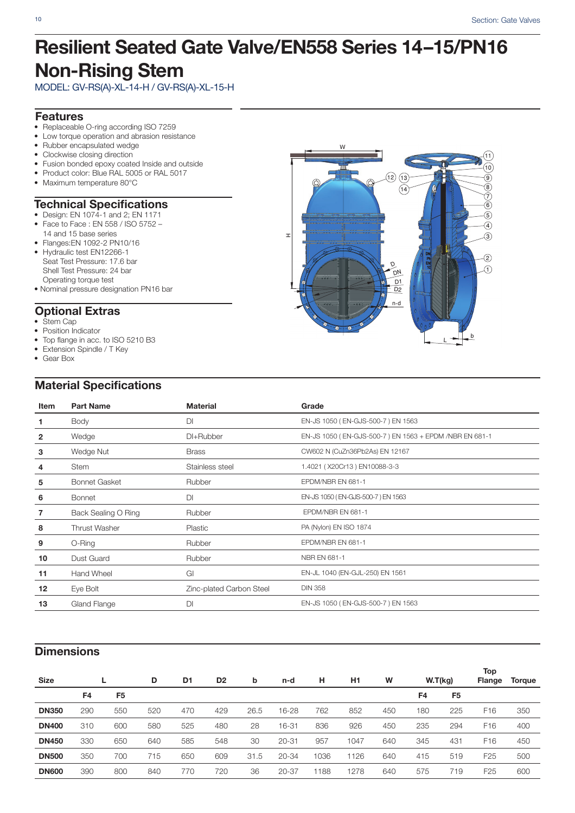## **Resilient Seated Gate Valve/EN558 Series 14–15/PN16 Non-Rising Stem**

MODEL: GV-RS(A)-XL-14-H / GV-RS(A)-XL-15-H

### **Features**

- Replaceable O-ring according ISO 7259
- Low torque operation and abrasion resistance
- Rubber encapsulated wedge
- Clockwise closing direction
- Fusion bonded epoxy coated Inside and outside
- Product color: Blue RAL 5005 or RAL 5017
- Maximum temperature 80°C

#### **Technical Specifications**

- Design: EN 1074-1 and 2; EN 1171 • Face to Face : EN 558 / ISO 5752 –
- 14 and 15 base series
- Flanges:EN 1092-2 PN10/16
- Hydraulic test EN12266-1 Seat Test Pressure: 17.6 bar Shell Test Pressure: 24 bar Operating torque test
- Nominal pressure designation PN16 bar

## **Optional Extras**

- Stem Cap
- Position Indicator
- Top flange in acc. to ISO 5210 B3
- Extension Spindle / T Key
- Gear Box

### **Material Specifications**



| Item         | <b>Part Name</b>     | Material                 | Grade                                                  |
|--------------|----------------------|--------------------------|--------------------------------------------------------|
| 1.           | Body                 | <b>DI</b>                | EN-JS 1050 (EN-GJS-500-7) EN 1563                      |
| $\mathbf{2}$ | Wedge                | DI+Rubber                | EN-JS 1050 (EN-GJS-500-7) EN 1563 + EPDM /NBR EN 681-1 |
| 3            | Wedge Nut            | <b>Brass</b>             | CW602 N (CuZn36Pb2As) EN 12167                         |
| 4            | <b>Stem</b>          | Stainless steel          | 1.4021 (X20Cr13) EN10088-3-3                           |
| 5            | <b>Bonnet Gasket</b> | Rubber                   | EPDM/NBR EN 681-1                                      |
| 6            | <b>Bonnet</b>        | DI                       | EN-JS 1050 (EN-GJS-500-7) EN 1563                      |
|              | Back Sealing O Ring  | Rubber                   | EPDM/NBR EN 681-1                                      |
| 8            | <b>Thrust Washer</b> | Plastic                  | PA (Nylon) EN ISO 1874                                 |
| 9            | O-Ring               | Rubber                   | EPDM/NBR EN 681-1                                      |
| 10           | Dust Guard           | Rubber                   | NBR EN 681-1                                           |
| 11           | Hand Wheel           | GI                       | EN-JL 1040 (EN-GJL-250) EN 1561                        |
| 12           | Eye Bolt             | Zinc-plated Carbon Steel | <b>DIN 358</b>                                         |
| 13           | Gland Flange         | DI                       | EN-JS 1050 (EN-GJS-500-7) EN 1563                      |
|              |                      |                          |                                                        |

### **Dimensions**

| <b>Size</b>  |     |     | D   | D1  | D <sub>2</sub> | b    | н<br>H <sub>1</sub><br>n-d |      | W    | W.T(kg) |     | Top<br><b>Flange</b> | Torque          |     |
|--------------|-----|-----|-----|-----|----------------|------|----------------------------|------|------|---------|-----|----------------------|-----------------|-----|
|              | F4  | F5  |     |     |                |      |                            |      |      |         | F4  | F <sub>5</sub>       |                 |     |
| <b>DN350</b> | 290 | 550 | 520 | 470 | 429            | 26.5 | 16-28                      | 762  | 852  | 450     | 180 | 225                  | F <sub>16</sub> | 350 |
| <b>DN400</b> | 310 | 600 | 580 | 525 | 480            | 28   | 16-31                      | 836  | 926  | 450     | 235 | 294                  | F <sub>16</sub> | 400 |
| <b>DN450</b> | 330 | 650 | 640 | 585 | 548            | 30   | $20 - 31$                  | 957  | 1047 | 640     | 345 | 431                  | F <sub>16</sub> | 450 |
| <b>DN500</b> | 350 | 700 | 715 | 650 | 609            | 31.5 | $20 - 34$                  | 1036 | 1126 | 640     | 415 | 519                  | F <sub>25</sub> | 500 |
| <b>DN600</b> | 390 | 800 | 840 | 770 | 720            | 36   | $20 - 37$                  | 1188 | 1278 | 640     | 575 | 719                  | F <sub>25</sub> | 600 |